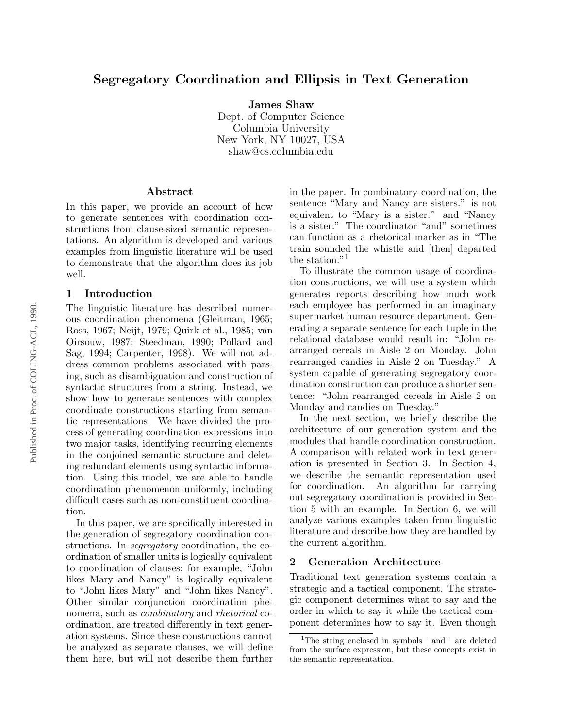# Segregatory Coordination and Ellipsis in Text Generation

James Shaw

Dept. of Computer Science Columbia University New York, NY 10027, USA shaw@cs.columbia.edu

#### Abstract

In this paper, we provide an account of how to generate sentences with coordination constructions from clause-sized semantic representations. An algorithm is developed and various examples from linguistic literature will be used to demonstrate that the algorithm does its job well.

#### 1 Introduction

The linguistic literature has described numerous coordination phenomena (Gleitman, 1965; Ross, 1967; Neijt, 1979; Quirk et al., 1985; van Oirsouw, 1987; Steedman, 1990; Pollard and Sag, 1994; Carpenter, 1998). We will not address common problems associated with parsing, such as disambiguation and construction of syntactic structures from a string. Instead, we show how to generate sentences with complex coordinate constructions starting from semantic representations. We have divided the process of generating coordination expressions into two major tasks, identifying recurring elements in the conjoined semantic structure and deleting redundant elements using syntactic information. Using this model, we are able to handle coordination phenomenon uniformly, including difficult cases such as non-constituent coordination.

In this paper, we are specifically interested in the generation of segregatory coordination constructions. In segregatory coordination, the coordination of smaller units is logically equivalent to coordination of clauses; for example, "John likes Mary and Nancy" is logically equivalent to "John likes Mary" and "John likes Nancy". Other similar conjunction coordination phenomena, such as combinatory and rhetorical coordination, are treated differently in text generation systems. Since these constructions cannot be analyzed as separate clauses, we will define them here, but will not describe them further in the paper. In combinatory coordination, the sentence "Mary and Nancy are sisters." is not equivalent to "Mary is a sister." and "Nancy is a sister." The coordinator "and" sometimes can function as a rhetorical marker as in "The train sounded the whistle and [then] departed the station."<sup>1</sup>

To illustrate the common usage of coordination constructions, we will use a system which generates reports describing how much work each employee has performed in an imaginary supermarket human resource department. Generating a separate sentence for each tuple in the relational database would result in: "John rearranged cereals in Aisle 2 on Monday. John rearranged candies in Aisle 2 on Tuesday." A system capable of generating segregatory coordination construction can produce a shorter sentence: "John rearranged cereals in Aisle 2 on Monday and candies on Tuesday."

In the next section, we briefly describe the architecture of our generation system and the modules that handle coordination construction. A comparison with related work in text generation is presented in Section 3. In Section 4, we describe the semantic representation used for coordination. An algorithm for carrying out segregatory coordination is provided in Section 5 with an example. In Section 6, we will analyze various examples taken from linguistic literature and describe how they are handled by the current algorithm.

### 2 Generation Architecture

Traditional text generation systems contain a strategic and a tactical component. The strategic component determines what to say and the order in which to say it while the tactical component determines how to say it. Even though

<sup>&</sup>lt;sup>1</sup>The string enclosed in symbols [ and ] are deleted from the surface expression, but these concepts exist in the semantic representation.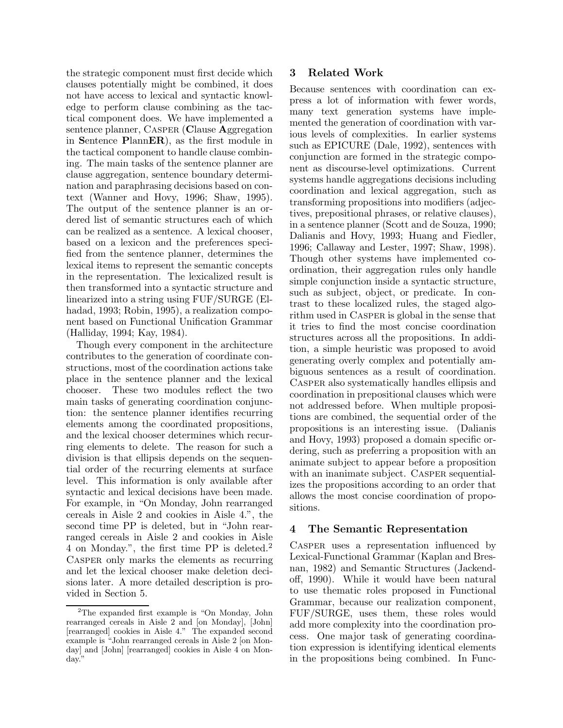the strategic component must first decide which clauses potentially might be combined, it does not have access to lexical and syntactic knowledge to perform clause combining as the tactical component does. We have implemented a sentence planner, CASPER (Clause Aggregation in Sentence PlannER), as the first module in the tactical component to handle clause combining. The main tasks of the sentence planner are clause aggregation, sentence boundary determination and paraphrasing decisions based on context (Wanner and Hovy, 1996; Shaw, 1995). The output of the sentence planner is an ordered list of semantic structures each of which can be realized as a sentence. A lexical chooser, based on a lexicon and the preferences specified from the sentence planner, determines the lexical items to represent the semantic concepts in the representation. The lexicalized result is then transformed into a syntactic structure and linearized into a string using FUF/SURGE (Elhadad, 1993; Robin, 1995), a realization component based on Functional Unification Grammar (Halliday, 1994; Kay, 1984).

Though every component in the architecture contributes to the generation of coordinate constructions, most of the coordination actions take place in the sentence planner and the lexical chooser. These two modules reflect the two main tasks of generating coordination conjunction: the sentence planner identifies recurring elements among the coordinated propositions, and the lexical chooser determines which recurring elements to delete. The reason for such a division is that ellipsis depends on the sequential order of the recurring elements at surface level. This information is only available after syntactic and lexical decisions have been made. For example, in "On Monday, John rearranged cereals in Aisle 2 and cookies in Aisle 4.", the second time PP is deleted, but in "John rearranged cereals in Aisle 2 and cookies in Aisle 4 on Monday.", the first time PP is deleted.<sup>2</sup> CASPER only marks the elements as recurring and let the lexical chooser make deletion decisions later. A more detailed description is provided in Section 5.

### 3 Related Work

Because sentences with coordination can express a lot of information with fewer words, many text generation systems have implemented the generation of coordination with various levels of complexities. In earlier systems such as EPICURE (Dale, 1992), sentences with conjunction are formed in the strategic component as discourse-level optimizations. Current systems handle aggregations decisions including coordination and lexical aggregation, such as transforming propositions into modifiers (adjectives, prepositional phrases, or relative clauses), in a sentence planner (Scott and de Souza, 1990; Dalianis and Hovy, 1993; Huang and Fiedler, 1996; Callaway and Lester, 1997; Shaw, 1998). Though other systems have implemented coordination, their aggregation rules only handle simple conjunction inside a syntactic structure, such as subject, object, or predicate. In contrast to these localized rules, the staged algorithm used in Casper is global in the sense that it tries to find the most concise coordination structures across all the propositions. In addition, a simple heuristic was proposed to avoid generating overly complex and potentially ambiguous sentences as a result of coordination. Casper also systematically handles ellipsis and coordination in prepositional clauses which were not addressed before. When multiple propositions are combined, the sequential order of the propositions is an interesting issue. (Dalianis and Hovy, 1993) proposed a domain specific ordering, such as preferring a proposition with an animate subject to appear before a proposition with an inanimate subject. CASPER sequentializes the propositions according to an order that allows the most concise coordination of propositions.

## 4 The Semantic Representation

CASPER uses a representation influenced by Lexical-Functional Grammar (Kaplan and Bresnan, 1982) and Semantic Structures (Jackendoff, 1990). While it would have been natural to use thematic roles proposed in Functional Grammar, because our realization component, FUF/SURGE, uses them, these roles would add more complexity into the coordination process. One major task of generating coordination expression is identifying identical elements in the propositions being combined. In Func-

<sup>2</sup>The expanded first example is "On Monday, John rearranged cereals in Aisle 2 and [on Monday], [John] [rearranged] cookies in Aisle 4." The expanded second example is "John rearranged cereals in Aisle 2 [on Monday] and [John] [rearranged] cookies in Aisle 4 on Monday."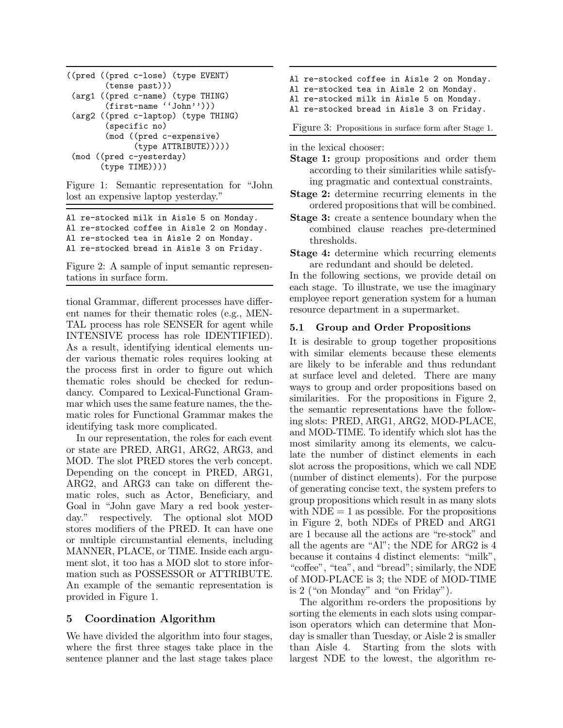```
((pred ((pred c-lose) (type EVENT)
        (tense past)))
(arg1 ((pred c-name) (type THING)
        (first-name ''John'')))
(arg2 ((pred c-laptop) (type THING)
        (specific no)
        (mod ((pred c-expensive)
              (type ATTRIBUTE)))))
(mod ((pred c-yesterday)
       (type TIME))))
```
Figure 1: Semantic representation for "John lost an expensive laptop yesterday."

Al re-stocked milk in Aisle 5 on Monday.

Al re-stocked coffee in Aisle 2 on Monday.

Al re-stocked tea in Aisle 2 on Monday.

Al re-stocked bread in Aisle 3 on Friday.

Figure 2: A sample of input semantic representations in surface form.

tional Grammar, different processes have different names for their thematic roles (e.g., MEN-TAL process has role SENSER for agent while INTENSIVE process has role IDENTIFIED). As a result, identifying identical elements under various thematic roles requires looking at the process first in order to figure out which thematic roles should be checked for redundancy. Compared to Lexical-Functional Grammar which uses the same feature names, the thematic roles for Functional Grammar makes the identifying task more complicated.

In our representation, the roles for each event or state are PRED, ARG1, ARG2, ARG3, and MOD. The slot PRED stores the verb concept. Depending on the concept in PRED, ARG1, ARG2, and ARG3 can take on different thematic roles, such as Actor, Beneficiary, and Goal in "John gave Mary a red book yesterday." respectively. The optional slot MOD stores modifiers of the PRED. It can have one or multiple circumstantial elements, including MANNER, PLACE, or TIME. Inside each argument slot, it too has a MOD slot to store information such as POSSESSOR or ATTRIBUTE. An example of the semantic representation is provided in Figure 1.

# 5 Coordination Algorithm

We have divided the algorithm into four stages, where the first three stages take place in the sentence planner and the last stage takes place

- Al re-stocked coffee in Aisle 2 on Monday.
- Al re-stocked tea in Aisle 2 on Monday.

Al re-stocked milk in Aisle 5 on Monday.

Al re-stocked bread in Aisle 3 on Friday.

Figure 3: Propositions in surface form after Stage 1.

in the lexical chooser:

- Stage 1: group propositions and order them according to their similarities while satisfying pragmatic and contextual constraints.
- Stage 2: determine recurring elements in the ordered propositions that will be combined.
- Stage 3: create a sentence boundary when the combined clause reaches pre-determined thresholds.
- Stage 4: determine which recurring elements are redundant and should be deleted.

In the following sections, we provide detail on each stage. To illustrate, we use the imaginary employee report generation system for a human resource department in a supermarket.

### 5.1 Group and Order Propositions

It is desirable to group together propositions with similar elements because these elements are likely to be inferable and thus redundant at surface level and deleted. There are many ways to group and order propositions based on similarities. For the propositions in Figure 2, the semantic representations have the following slots: PRED, ARG1, ARG2, MOD-PLACE, and MOD-TIME. To identify which slot has the most similarity among its elements, we calculate the number of distinct elements in each slot across the propositions, which we call NDE (number of distinct elements). For the purpose of generating concise text, the system prefers to group propositions which result in as many slots with  $NDE = 1$  as possible. For the propositions in Figure 2, both NDEs of PRED and ARG1 are 1 because all the actions are "re-stock" and all the agents are "Al"; the NDE for ARG2 is 4 because it contains 4 distinct elements: "milk", "coffee", "tea", and "bread"; similarly, the NDE of MOD-PLACE is 3; the NDE of MOD-TIME is 2 ("on Monday" and "on Friday").

The algorithm re-orders the propositions by sorting the elements in each slots using comparison operators which can determine that Monday is smaller than Tuesday, or Aisle 2 is smaller than Aisle 4. Starting from the slots with largest NDE to the lowest, the algorithm re-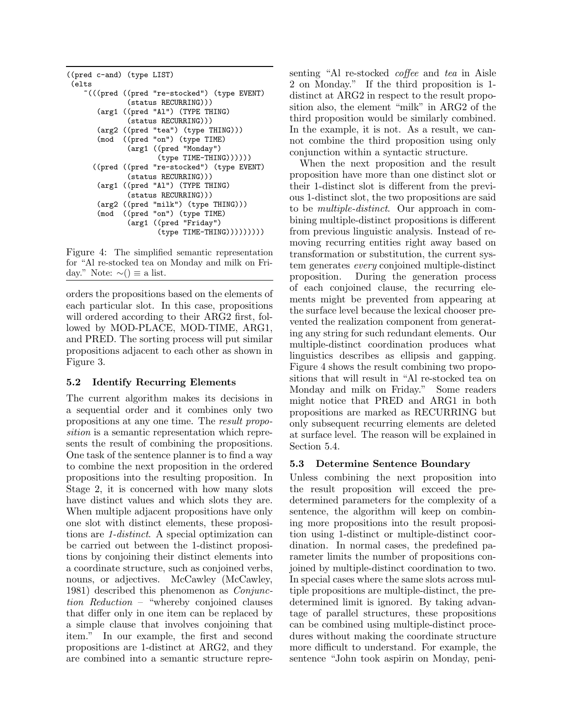```
((pred c-and) (type LIST)
 (elts
    ~(((pred ((pred "re-stocked") (type EVENT)
              (status RECURRING)))
       (arg1 ((pred "Al") (TYPE THING)
              (status RECURRING)))
       (arg2 ((pred "tea") (type THING)))
       (mod ((pred "on") (type TIME)
              (arg1 ((pred "Monday")
                     (type TIME-THING))))))
      ((pred ((pred "re-stocked") (type EVENT)
              (status RECURRING)))
       (arg1 ((pred "Al") (TYPE THING)
              (status RECURRING)))
       (arg2 ((pred "milk") (type THING)))
       (mod ((pred "on") (type TIME)
              (arg1 ((pred "Friday")
                     (type TIME-THING)))))))))
```
Figure 4: The simplified semantic representation for "Al re-stocked tea on Monday and milk on Friday." Note:  $\sim$ () ≡ a list.

orders the propositions based on the elements of each particular slot. In this case, propositions will ordered according to their ARG2 first, followed by MOD-PLACE, MOD-TIME, ARG1, and PRED. The sorting process will put similar propositions adjacent to each other as shown in Figure 3.

#### 5.2 Identify Recurring Elements

The current algorithm makes its decisions in a sequential order and it combines only two propositions at any one time. The result proposition is a semantic representation which represents the result of combining the propositions. One task of the sentence planner is to find a way to combine the next proposition in the ordered propositions into the resulting proposition. In Stage 2, it is concerned with how many slots have distinct values and which slots they are. When multiple adjacent propositions have only one slot with distinct elements, these propositions are 1-distinct. A special optimization can be carried out between the 1-distinct propositions by conjoining their distinct elements into a coordinate structure, such as conjoined verbs, nouns, or adjectives. McCawley (McCawley, 1981) described this phenomenon as Conjunction Reduction – "whereby conjoined clauses that differ only in one item can be replaced by a simple clause that involves conjoining that item." In our example, the first and second propositions are 1-distinct at ARG2, and they are combined into a semantic structure representing "Al re-stocked *coffee* and tea in Aisle 2 on Monday." If the third proposition is 1 distinct at ARG2 in respect to the result proposition also, the element "milk" in ARG2 of the third proposition would be similarly combined. In the example, it is not. As a result, we cannot combine the third proposition using only conjunction within a syntactic structure.

When the next proposition and the result proposition have more than one distinct slot or their 1-distinct slot is different from the previous 1-distinct slot, the two propositions are said to be multiple-distinct. Our approach in combining multiple-distinct propositions is different from previous linguistic analysis. Instead of removing recurring entities right away based on transformation or substitution, the current system generates every conjoined multiple-distinct proposition. During the generation process of each conjoined clause, the recurring elements might be prevented from appearing at the surface level because the lexical chooser prevented the realization component from generating any string for such redundant elements. Our multiple-distinct coordination produces what linguistics describes as ellipsis and gapping. Figure 4 shows the result combining two propositions that will result in "Al re-stocked tea on Monday and milk on Friday." Some readers might notice that PRED and ARG1 in both propositions are marked as RECURRING but only subsequent recurring elements are deleted at surface level. The reason will be explained in Section 5.4.

## 5.3 Determine Sentence Boundary

Unless combining the next proposition into the result proposition will exceed the predetermined parameters for the complexity of a sentence, the algorithm will keep on combining more propositions into the result proposition using 1-distinct or multiple-distinct coordination. In normal cases, the predefined parameter limits the number of propositions conjoined by multiple-distinct coordination to two. In special cases where the same slots across multiple propositions are multiple-distinct, the predetermined limit is ignored. By taking advantage of parallel structures, these propositions can be combined using multiple-distinct procedures without making the coordinate structure more difficult to understand. For example, the sentence "John took aspirin on Monday, peni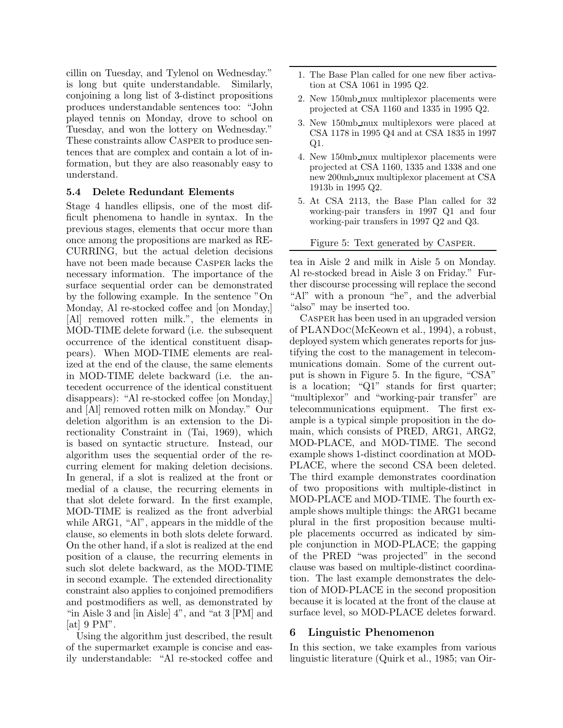cillin on Tuesday, and Tylenol on Wednesday." is long but quite understandable. Similarly, conjoining a long list of 3-distinct propositions produces understandable sentences too: "John played tennis on Monday, drove to school on Tuesday, and won the lottery on Wednesday." These constraints allow Casper to produce sentences that are complex and contain a lot of information, but they are also reasonably easy to understand.

#### 5.4 Delete Redundant Elements

Stage 4 handles ellipsis, one of the most difficult phenomena to handle in syntax. In the previous stages, elements that occur more than once among the propositions are marked as RE-CURRING, but the actual deletion decisions have not been made because Casper lacks the necessary information. The importance of the surface sequential order can be demonstrated by the following example. In the sentence "On Monday, Al re-stocked coffee and [on Monday,] [Al] removed rotten milk.", the elements in MOD-TIME delete forward (i.e. the subsequent occurrence of the identical constituent disappears). When MOD-TIME elements are realized at the end of the clause, the same elements in MOD-TIME delete backward (i.e. the antecedent occurrence of the identical constituent disappears): "Al re-stocked coffee [on Monday,] and [Al] removed rotten milk on Monday." Our deletion algorithm is an extension to the Directionality Constraint in (Tai, 1969), which is based on syntactic structure. Instead, our algorithm uses the sequential order of the recurring element for making deletion decisions. In general, if a slot is realized at the front or medial of a clause, the recurring elements in that slot delete forward. In the first example, MOD-TIME is realized as the front adverbial while ARG1, "Al", appears in the middle of the clause, so elements in both slots delete forward. On the other hand, if a slot is realized at the end position of a clause, the recurring elements in such slot delete backward, as the MOD-TIME in second example. The extended directionality constraint also applies to conjoined premodifiers and postmodifiers as well, as demonstrated by "in Aisle 3 and [in Aisle] 4", and "at 3 [PM] and  $[at] 9 PM"$ .

Using the algorithm just described, the result of the supermarket example is concise and easily understandable: "Al re-stocked coffee and

- 1. The Base Plan called for one new fiber activation at CSA 1061 in 1995 Q2.
- 2. New 150mb mux multiplexor placements were projected at CSA 1160 and 1335 in 1995 Q2.
- 3. New 150mb mux multiplexors were placed at CSA 1178 in 1995 Q4 and at CSA 1835 in 1997 Q1.
- 4. New 150mb mux multiplexor placements were projected at CSA 1160, 1335 and 1338 and one new 200mb mux multiplexor placement at CSA 1913b in 1995 Q2.
- 5. At CSA 2113, the Base Plan called for 32 working-pair transfers in 1997 Q1 and four working-pair transfers in 1997 Q2 and Q3.

Figure 5: Text generated by Casper.

tea in Aisle 2 and milk in Aisle 5 on Monday. Al re-stocked bread in Aisle 3 on Friday." Further discourse processing will replace the second "Al" with a pronoun "he", and the adverbial "also" may be inserted too.

Casper has been used in an upgraded version of PLANDoc(McKeown et al., 1994), a robust, deployed system which generates reports for justifying the cost to the management in telecommunications domain. Some of the current output is shown in Figure 5. In the figure, "CSA" is a location; "Q1" stands for first quarter; "multiplexor" and "working-pair transfer" are telecommunications equipment. The first example is a typical simple proposition in the domain, which consists of PRED, ARG1, ARG2, MOD-PLACE, and MOD-TIME. The second example shows 1-distinct coordination at MOD-PLACE, where the second CSA been deleted. The third example demonstrates coordination of two propositions with multiple-distinct in MOD-PLACE and MOD-TIME. The fourth example shows multiple things: the ARG1 became plural in the first proposition because multiple placements occurred as indicated by simple conjunction in MOD-PLACE; the gapping of the PRED "was projected" in the second clause was based on multiple-distinct coordination. The last example demonstrates the deletion of MOD-PLACE in the second proposition because it is located at the front of the clause at surface level, so MOD-PLACE deletes forward.

#### 6 Linguistic Phenomenon

In this section, we take examples from various linguistic literature (Quirk et al., 1985; van Oir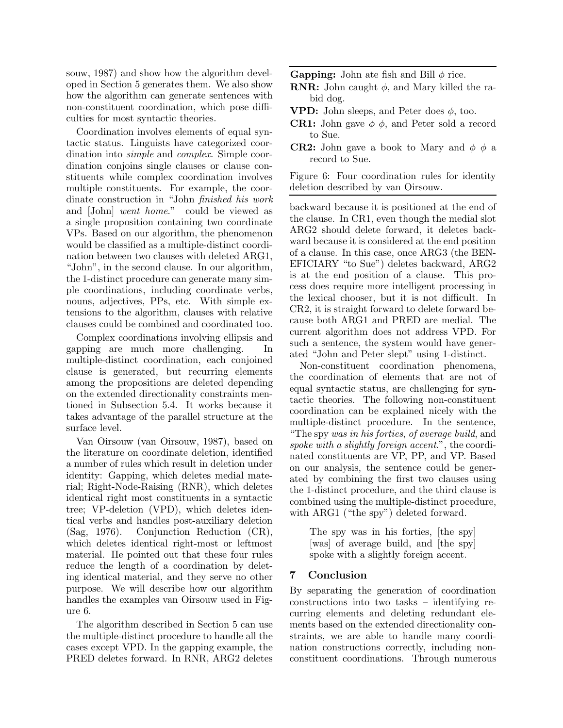souw, 1987) and show how the algorithm developed in Section 5 generates them. We also show how the algorithm can generate sentences with non-constituent coordination, which pose difficulties for most syntactic theories.

Coordination involves elements of equal syntactic status. Linguists have categorized coordination into simple and complex. Simple coordination conjoins single clauses or clause constituents while complex coordination involves multiple constituents. For example, the coordinate construction in "John finished his work and [John] went home." could be viewed as a single proposition containing two coordinate VPs. Based on our algorithm, the phenomenon would be classified as a multiple-distinct coordination between two clauses with deleted ARG1, "John", in the second clause. In our algorithm, the 1-distinct procedure can generate many simple coordinations, including coordinate verbs, nouns, adjectives, PPs, etc. With simple extensions to the algorithm, clauses with relative clauses could be combined and coordinated too.

Complex coordinations involving ellipsis and gapping are much more challenging. In multiple-distinct coordination, each conjoined clause is generated, but recurring elements among the propositions are deleted depending on the extended directionality constraints mentioned in Subsection 5.4. It works because it takes advantage of the parallel structure at the surface level.

Van Oirsouw (van Oirsouw, 1987), based on the literature on coordinate deletion, identified a number of rules which result in deletion under identity: Gapping, which deletes medial material; Right-Node-Raising (RNR), which deletes identical right most constituents in a syntactic tree; VP-deletion (VPD), which deletes identical verbs and handles post-auxiliary deletion (Sag, 1976). Conjunction Reduction (CR), which deletes identical right-most or leftmost material. He pointed out that these four rules reduce the length of a coordination by deleting identical material, and they serve no other purpose. We will describe how our algorithm handles the examples van Oirsouw used in Figure 6.

The algorithm described in Section 5 can use the multiple-distinct procedure to handle all the cases except VPD. In the gapping example, the PRED deletes forward. In RNR, ARG2 deletes **Gapping:** John ate fish and Bill  $\phi$  rice.

- **RNR:** John caught  $\phi$ , and Mary killed the rabid dog.
- **VPD:** John sleeps, and Peter does  $\phi$ , too.
- **CR1:** John gave  $\phi$   $\phi$ , and Peter sold a record to Sue.
- **CR2:** John gave a book to Mary and  $\phi \phi$  a record to Sue.

Figure 6: Four coordination rules for identity deletion described by van Oirsouw.

backward because it is positioned at the end of the clause. In CR1, even though the medial slot ARG2 should delete forward, it deletes backward because it is considered at the end position of a clause. In this case, once ARG3 (the BEN-EFICIARY "to Sue") deletes backward, ARG2 is at the end position of a clause. This process does require more intelligent processing in the lexical chooser, but it is not difficult. In CR2, it is straight forward to delete forward because both ARG1 and PRED are medial. The current algorithm does not address VPD. For such a sentence, the system would have generated "John and Peter slept" using 1-distinct.

Non-constituent coordination phenomena, the coordination of elements that are not of equal syntactic status, are challenging for syntactic theories. The following non-constituent coordination can be explained nicely with the multiple-distinct procedure. In the sentence, "The spy was in his forties, of average build, and spoke with a slightly foreign accent.", the coordinated constituents are VP, PP, and VP. Based on our analysis, the sentence could be generated by combining the first two clauses using the 1-distinct procedure, and the third clause is combined using the multiple-distinct procedure, with ARG1 ("the spy") deleted forward.

The spy was in his forties, [the spy] [was] of average build, and [the spy] spoke with a slightly foreign accent.

## 7 Conclusion

By separating the generation of coordination constructions into two tasks – identifying recurring elements and deleting redundant elements based on the extended directionality constraints, we are able to handle many coordination constructions correctly, including nonconstituent coordinations. Through numerous